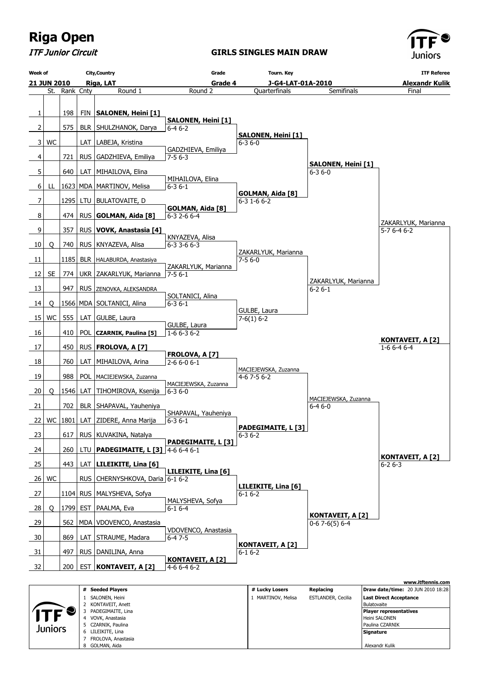

ITF Junior Circuit

#### **GIRLS SINGLES MAIN DRAW**



|         | # Seeded Plavers   | # Lucky Losers     | Replacing                 | <b>Draw date/time: 20 JUN 2010 18:28</b> |
|---------|--------------------|--------------------|---------------------------|------------------------------------------|
|         | SALONEN, Heini     | 1 MARTINOV, Melisa | <b>ESTLANDER, Cecilia</b> | <b>Last Direct Acceptance</b>            |
|         | 2 KONTAVEIT, Anett |                    |                           | Bulatovaite                              |
|         | PADEGIMAITE, Lina  |                    |                           | <b>Player representatives</b>            |
|         | VOVK, Anastasia    |                    |                           | Heini SALONEN                            |
| Juniors | 5 CZARNIK, Paulina |                    |                           | Paulina CZARNIK                          |
|         | 6 LILEIKITE, Lina  |                    |                           | Signature                                |
|         | FROLOVA, Anastasia |                    |                           |                                          |
|         | 8 GOLMAN, Aida     |                    |                           | Alexandr Kulik                           |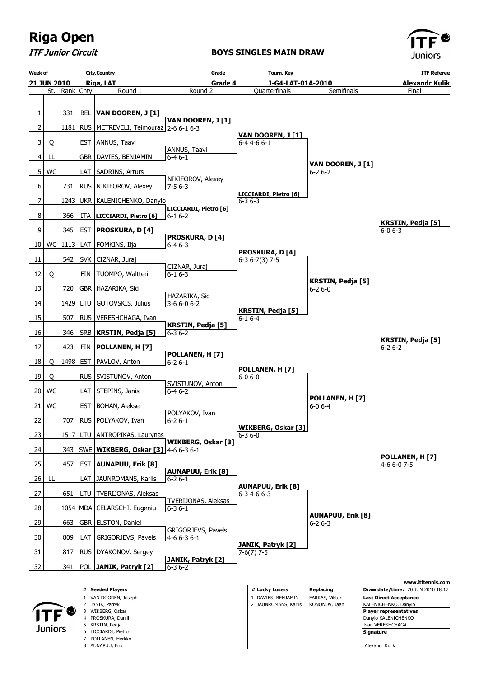

ITF Junior Circuit

**BOYS SINGLES MAIN DRAW**



|         | # Seeded Plavers    | # Lucky Losers       | Replacing      | <b>Draw date/time: 20 JUN 2010 18:17</b> |
|---------|---------------------|----------------------|----------------|------------------------------------------|
|         | VAN DOOREN, Joseph  | DAVIES, BENJAMIN     | FARKAS, Viktor | <b>Last Direct Acceptance</b>            |
|         | 2 JANIK, Patryk     | 2 JAUNROMANS, Karlis | KONONOV, Jaan  | KALENICHENKO, Danylo                     |
|         | WIKBERG, Oskar      |                      |                | <b>Player representatives</b>            |
|         | PROSKURA, Daniil    |                      |                | Danylo KALENICHENKO                      |
| Juniors | 5 KRSTIN, Pedja     |                      |                | I Ivan VERESHCHAGA                       |
|         | 6 LICCIARDI, Pietro |                      |                | Signature                                |
|         | POLLANEN, Herkko    |                      |                |                                          |
|         | 8 AUNAPUU, Erik     |                      |                | Alexandr Kulik                           |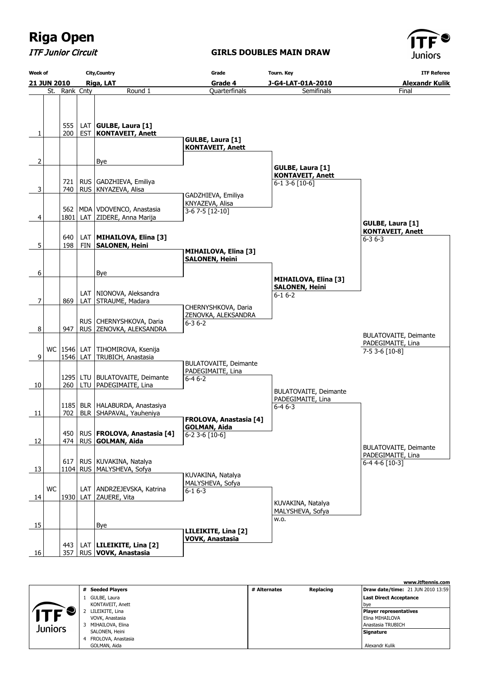ITF Junior Circuit

### **GIRLS DOUBLES MAIN DRAW**



| <b>Week of</b> | <b>City, Country</b> |               | Grade |                                       | <b>Tourn. Key</b>                           | <b>ITF Referee</b>                            |                              |
|----------------|----------------------|---------------|-------|---------------------------------------|---------------------------------------------|-----------------------------------------------|------------------------------|
|                | <b>21 JUN 2010</b>   |               |       | Riga, LAT                             | Grade 4                                     | J-G4-LAT-01A-2010                             | <b>Alexandr Kulik</b>        |
|                |                      | St. Rank Cnty |       | Round 1                               | <b>Quarterfinals</b>                        | Semifinals                                    | Final                        |
|                |                      |               |       |                                       |                                             |                                               |                              |
|                |                      |               |       |                                       |                                             |                                               |                              |
|                |                      |               |       |                                       |                                             |                                               |                              |
|                |                      | 555           |       | LAT $ GULEE, Laura [1]$               |                                             |                                               |                              |
| 1              |                      | 200           |       | <b>EST   KONTAVEIT, Anett</b>         | GULBE, Laura [1]                            |                                               |                              |
|                |                      |               |       |                                       | <b>KONTAVEIT, Anett</b>                     |                                               |                              |
|                |                      |               |       |                                       |                                             |                                               |                              |
| 2              |                      |               |       | Bye                                   |                                             |                                               |                              |
|                |                      |               |       |                                       |                                             | GULBE, Laura [1]                              |                              |
|                |                      | 721           |       | RUS   GADZHIEVA, Emiliya              |                                             | <b>KONTAVEIT, Anett</b><br>$6-1$ 3-6 $[10-6]$ |                              |
| 3              |                      | 740           |       | RUS   KNYAZEVA, Alisa                 |                                             |                                               |                              |
|                |                      |               |       |                                       | GADZHIEVA, Emiliya                          |                                               |                              |
|                |                      |               |       |                                       | KNYAZEVA, Alisa                             |                                               |                              |
|                |                      | 562           |       | MDA   VDOVENCO, Anastasia             | $3-67-5$ [12-10]                            |                                               |                              |
| 4              |                      | 1801          |       | LAT ZIDERE, Anna Marija               |                                             |                                               | <b>GULBE, Laura [1]</b>      |
|                |                      |               |       |                                       |                                             |                                               | <b>KONTAVEIT, Anett</b>      |
|                |                      | 640           |       | LAT   MIHAILOVA, Elina [3]            |                                             |                                               | $6 - 36 - 3$                 |
| 5              |                      | 198           |       | FIN SALONEN, Heini                    |                                             |                                               |                              |
|                |                      |               |       |                                       | MIHAILOVA, Elina [3]                        |                                               |                              |
|                |                      |               |       |                                       | <b>SALONEN, Heini</b>                       |                                               |                              |
| 6              |                      |               |       | Bye                                   |                                             |                                               |                              |
|                |                      |               |       |                                       |                                             | <b>MIHAILOVA, Elina [3]</b>                   |                              |
|                |                      |               |       |                                       |                                             | <b>SALONEN, Heini</b>                         |                              |
|                |                      |               |       | LAT   NIONOVA, Aleksandra             |                                             | $6 - 16 - 2$                                  |                              |
| 7              |                      | 869           |       | LAT STRAUME, Madara                   | CHERNYSHKOVA, Daria                         |                                               |                              |
|                |                      |               |       |                                       | ZENOVKA, ALEKSANDRA                         |                                               |                              |
|                |                      |               |       | RUS   CHERNYSHKOVA, Daria             | $6 - 36 - 2$                                |                                               |                              |
| 8              |                      | 947           |       | RUS ZENOVKĄ, ALEKSANDRA               |                                             |                                               |                              |
|                |                      |               |       |                                       |                                             |                                               | <b>BULATOVAITE, Deimante</b> |
|                |                      |               |       | WC   1546   LAT   TIHOMIROVA, Ksenija |                                             |                                               | PADEGIMAITE, Lina            |
| 9              |                      |               |       | 1546 LAT TRUBICH, Anastasia           |                                             |                                               | $7-53-6[10-8]$               |
|                |                      |               |       |                                       | <b>BULATOVAITE, Deimante</b>                |                                               |                              |
|                |                      |               |       |                                       | PADEGIMAITE, Lina                           |                                               |                              |
|                |                      |               |       | 1295   LTU   BULATOVAITE, Deimante    | $6 - 46 - 2$                                |                                               |                              |
| 10             |                      |               |       | 260   LTU   PADEGIMAITE, Lina         |                                             | <b>BULATOVAITE, Deimante</b>                  |                              |
|                |                      |               |       |                                       |                                             | PADEGIMAITE, Lina                             |                              |
|                |                      |               |       | 1185   BLR   HALABURDA, Anastasiya    |                                             | $6 - 46 - 3$                                  |                              |
| 11             |                      | 702           |       | BLR   SHAPAVAL, Yauheniya             |                                             |                                               |                              |
|                |                      |               |       |                                       | <b>FROLOVA, Anastasia [4]</b>               |                                               |                              |
|                |                      | 450           |       | RUS   FROLOVA, Anastasia [4]          | <b>GOLMAN, Aida</b><br>$6 - 23 - 6[10 - 6]$ |                                               |                              |
| 12             |                      |               |       | 474   RUS   GOLMAN, Aida              |                                             |                                               |                              |
|                |                      |               |       |                                       |                                             |                                               | <b>BULATOVAITE, Deimante</b> |
|                |                      |               |       |                                       |                                             |                                               | PADEGIMAITE, Lina            |
|                |                      | 617           |       | RUS   KUVAKINA, Natalya               |                                             |                                               | 6-4 4-6 [10-3]               |
| 13             |                      |               |       | 1104 RUS   MALYSHEVA, Sofya           | KUVAKINA, Natalya                           |                                               |                              |
|                |                      |               |       |                                       | MALYSHEVA, Sofya                            |                                               |                              |
|                | WC                   |               |       | LAT   ANDRZEJEVSKA, Katrina           | $6 - 16 - 3$                                |                                               |                              |
| 14             |                      |               |       | 1930 LAT ZAUERE, Vita                 |                                             |                                               |                              |
|                |                      |               |       |                                       |                                             | KUVAKINA, Natalya                             |                              |
|                |                      |               |       |                                       |                                             | MALYSHEVA, Sofya                              |                              |
| 15             |                      |               |       | Bye                                   |                                             | w.o.                                          |                              |
|                |                      |               |       |                                       | LILEIKITE, Lina [2]                         |                                               |                              |
|                |                      |               |       |                                       | <b>VOVK, Anastasia</b>                      |                                               |                              |
|                |                      | 443           |       | LAT   LILEIKITE, Lina [2]             |                                             |                                               |                              |
| 16             |                      | 357           |       | RUS VOVK, Anastasia                   |                                             |                                               |                              |

|         |                      |              |           | www.itftennis.com                        |
|---------|----------------------|--------------|-----------|------------------------------------------|
|         | # Seeded Players     | # Alternates | Replacing | <b>Draw date/time: 21 JUN 2010 13:59</b> |
|         | GULBE, Laura         |              |           | Last Direct Acceptance                   |
|         | KONTAVEIT, Anett     |              |           | l bye                                    |
|         | LILEIKITE, Lina      |              |           | <b>Player representatives</b>            |
|         | VOVK, Anastasia      |              |           | Elina MIHAILOVA                          |
| Juniors | MIHAILOVA, Elina     |              |           | Anastasia TRUBICH                        |
|         | SALONEN, Heini       |              |           | Signature                                |
|         | 4 FROLOVA, Anastasia |              |           |                                          |
|         | GOLMAN, Aida         |              |           | Alexandr Kulik                           |